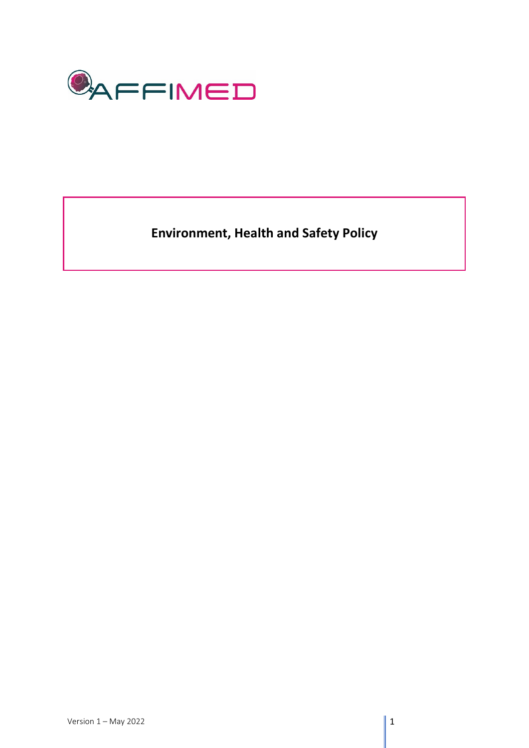

**Environment, Health and Safety Policy**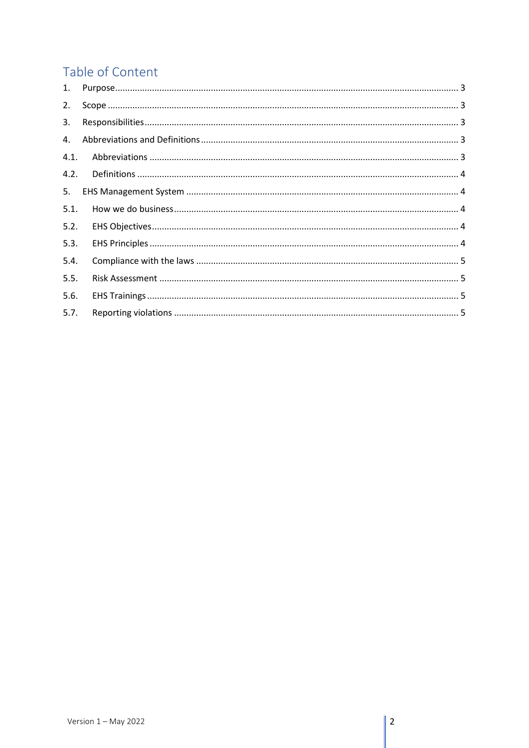# Table of Content

| 1.             |  |
|----------------|--|
| 2.             |  |
| 3.             |  |
| $\mathbf{4}$ . |  |
| 4.1.           |  |
| 4.2.           |  |
| 5.             |  |
| 5.1.           |  |
| 5.2.           |  |
| 5.3.           |  |
| 5.4.           |  |
| 5.5.           |  |
| 5.6.           |  |
| 5.7.           |  |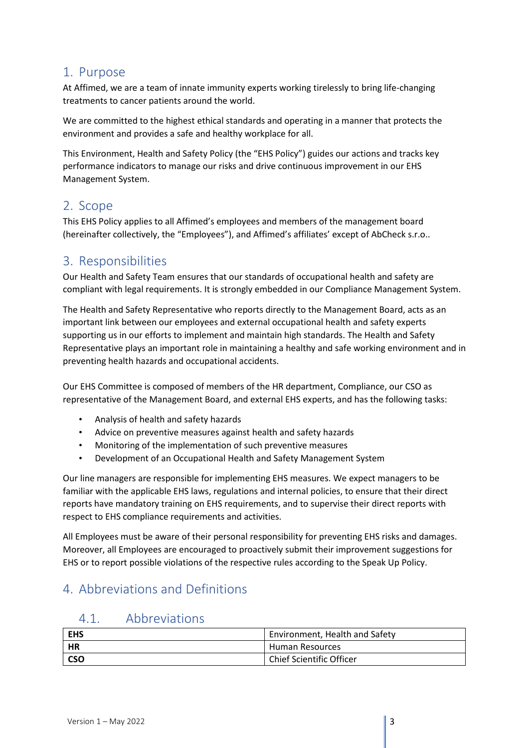#### <span id="page-2-0"></span>1. Purpose

At Affimed, we are a team of innate immunity experts working tirelessly to bring life-changing treatments to cancer patients around the world.

We are committed to the highest ethical standards and operating in a manner that protects the environment and provides a safe and healthy workplace for all.

This Environment, Health and Safety Policy (the "EHS Policy") guides our actions and tracks key performance indicators to manage our risks and drive continuous improvement in our EHS Management System.

#### <span id="page-2-1"></span>2. Scope

This EHS Policy applies to all Affimed's employees and members of the management board (hereinafter collectively, the "Employees"), and Affimed's affiliates' except of AbCheck s.r.o..

#### <span id="page-2-2"></span>3. Responsibilities

Our Health and Safety Team ensures that our standards of occupational health and safety are compliant with legal requirements. It is strongly embedded in our Compliance Management System.

The Health and Safety Representative who reports directly to the Management Board, acts as an important link between our employees and external occupational health and safety experts supporting us in our efforts to implement and maintain high standards. The Health and Safety Representative plays an important role in maintaining a healthy and safe working environment and in preventing health hazards and occupational accidents.

Our EHS Committee is composed of members of the HR department, Compliance, our CSO as representative of the Management Board, and external EHS experts, and has the following tasks:

- Analysis of health and safety hazards
- Advice on preventive measures against health and safety hazards
- Monitoring of the implementation of such preventive measures
- Development of an Occupational Health and Safety Management System

Our line managers are responsible for implementing EHS measures. We expect managers to be familiar with the applicable EHS laws, regulations and internal policies, to ensure that their direct reports have mandatory training on EHS requirements, and to supervise their direct reports with respect to EHS compliance requirements and activities.

All Employees must be aware of their personal responsibility for preventing EHS risks and damages. Moreover, all Employees are encouraged to proactively submit their improvement suggestions for EHS or to report possible violations of the respective rules according to the Speak Up Policy.

# <span id="page-2-4"></span><span id="page-2-3"></span>4. Abbreviations and Definitions

#### 4.1. Abbreviations

| EHS        | Environment, Health and Safety  |
|------------|---------------------------------|
| HR         | Human Resources                 |
| <b>CSO</b> | <b>Chief Scientific Officer</b> |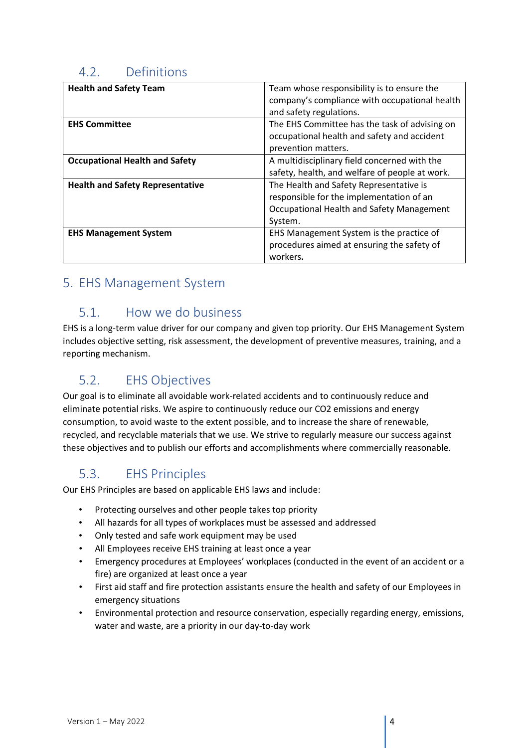### <span id="page-3-0"></span>4.2. Definitions

| <b>Health and Safety Team</b>           | Team whose responsibility is to ensure the     |
|-----------------------------------------|------------------------------------------------|
|                                         | company's compliance with occupational health  |
|                                         | and safety regulations.                        |
| <b>EHS Committee</b>                    | The EHS Committee has the task of advising on  |
|                                         | occupational health and safety and accident    |
|                                         | prevention matters.                            |
| <b>Occupational Health and Safety</b>   | A multidisciplinary field concerned with the   |
|                                         | safety, health, and welfare of people at work. |
| <b>Health and Safety Representative</b> | The Health and Safety Representative is        |
|                                         | responsible for the implementation of an       |
|                                         | Occupational Health and Safety Management      |
|                                         | System.                                        |
| <b>EHS Management System</b>            | EHS Management System is the practice of       |
|                                         | procedures aimed at ensuring the safety of     |
|                                         | workers.                                       |

### <span id="page-3-2"></span><span id="page-3-1"></span>5. EHS Management System

#### 5.1. How we do business

EHS is a long-term value driver for our company and given top priority. Our EHS Management System includes objective setting, risk assessment, the development of preventive measures, training, and a reporting mechanism.

# <span id="page-3-3"></span>5.2. EHS Objectives

Our goal is to eliminate all avoidable work-related accidents and to continuously reduce and eliminate potential risks. We aspire to continuously reduce our CO2 emissions and energy consumption, to avoid waste to the extent possible, and to increase the share of renewable, recycled, and recyclable materials that we use. We strive to regularly measure our success against these objectives and to publish our efforts and accomplishments where commercially reasonable.

# <span id="page-3-4"></span>5.3. EHS Principles

Our EHS Principles are based on applicable EHS laws and include:

- Protecting ourselves and other people takes top priority
- All hazards for all types of workplaces must be assessed and addressed
- Only tested and safe work equipment may be used
- All Employees receive EHS training at least once a year
- Emergency procedures at Employees' workplaces (conducted in the event of an accident or a fire) are organized at least once a year
- First aid staff and fire protection assistants ensure the health and safety of our Employees in emergency situations
- Environmental protection and resource conservation, especially regarding energy, emissions, water and waste, are a priority in our day-to-day work